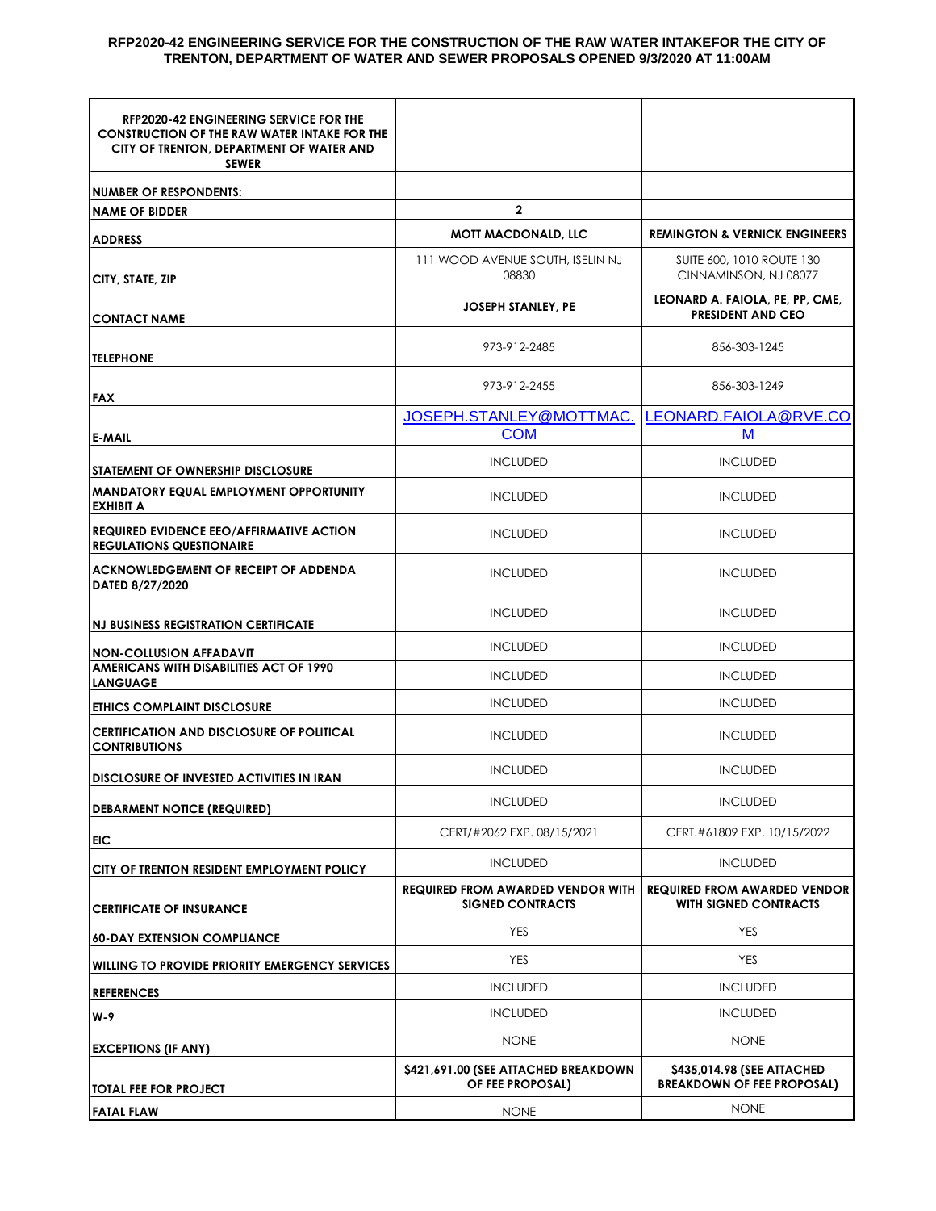## **RFP2020-42 ENGINEERING SERVICE FOR THE CONSTRUCTION OF THE RAW WATER INTAKEFOR THE CITY OF TRENTON, DEPARTMENT OF WATER AND SEWER PROPOSALS OPENED 9/3/2020 AT 11:00AM**

| <b>RFP2020-42 ENGINEERING SERVICE FOR THE</b><br><b>CONSTRUCTION OF THE RAW WATER INTAKE FOR THE</b><br>CITY OF TRENTON, DEPARTMENT OF WATER AND<br><b>SEWER</b> |                                                                     |                                                                     |
|------------------------------------------------------------------------------------------------------------------------------------------------------------------|---------------------------------------------------------------------|---------------------------------------------------------------------|
| <b>NUMBER OF RESPONDENTS:</b>                                                                                                                                    |                                                                     |                                                                     |
| <b>NAME OF BIDDER</b>                                                                                                                                            | $\mathbf{2}$                                                        |                                                                     |
| <b>ADDRESS</b>                                                                                                                                                   | <b>MOTT MACDONALD, LLC</b>                                          | <b>REMINGTON &amp; VERNICK ENGINEERS</b>                            |
| CITY, STATE, ZIP                                                                                                                                                 | 111 WOOD AVENUE SOUTH, ISELIN NJ<br>08830                           | SUITE 600, 1010 ROUTE 130<br>CINNAMINSON, NJ 08077                  |
| <b>CONTACT NAME</b>                                                                                                                                              | <b>JOSEPH STANLEY, PE</b>                                           | LEONARD A. FAIOLA, PE, PP, CME,<br><b>PRESIDENT AND CEO</b>         |
| <b>TELEPHONE</b>                                                                                                                                                 | 973-912-2485                                                        | 856-303-1245                                                        |
| FAX                                                                                                                                                              | 973-912-2455                                                        | 856-303-1249                                                        |
|                                                                                                                                                                  | JOSEPH.STANLEY@MOTTMAC.                                             | LEONARD.FAIOLA@RVE.CO                                               |
| <b>E-MAIL</b>                                                                                                                                                    | <b>COM</b>                                                          | M                                                                   |
| <b>ISTATEMENT OF OWNERSHIP DISCLOSURE</b>                                                                                                                        | <b>INCLUDED</b>                                                     | <b>INCLUDED</b>                                                     |
| <b>MANDATORY EQUAL EMPLOYMENT OPPORTUNITY</b><br><b>EXHIBIT A</b>                                                                                                | <b>INCLUDED</b>                                                     | <b>INCLUDED</b>                                                     |
| <b>REQUIRED EVIDENCE EEO/AFFIRMATIVE ACTION</b><br><b>REGULATIONS QUESTIONAIRE</b>                                                                               | <b>INCLUDED</b>                                                     | <b>INCLUDED</b>                                                     |
| <b>ACKNOWLEDGEMENT OF RECEIPT OF ADDENDA</b><br>DATED 8/27/2020                                                                                                  | <b>INCLUDED</b>                                                     | <b>INCLUDED</b>                                                     |
| <b>NJ BUSINESS REGISTRATION CERTIFICATE</b>                                                                                                                      | <b>INCLUDED</b>                                                     | <b>INCLUDED</b>                                                     |
| <b>NON-COLLUSION AFFADAVIT</b>                                                                                                                                   | <b>INCLUDED</b>                                                     | <b>INCLUDED</b>                                                     |
| AMERICANS WITH DISABILITIES ACT OF 1990<br><b>LANGUAGE</b>                                                                                                       | <b>INCLUDED</b>                                                     | <b>INCLUDED</b>                                                     |
| <b>ETHICS COMPLAINT DISCLOSURE</b>                                                                                                                               | <b>INCLUDED</b>                                                     | <b>INCLUDED</b>                                                     |
| <b>CERTIFICATION AND DISCLOSURE OF POLITICAL</b><br><b>CONTRIBUTIONS</b>                                                                                         | <b>INCLUDED</b>                                                     | <b>INCLUDED</b>                                                     |
| <b>DISCLOSURE OF INVESTED ACTIVITIES IN IRAN</b>                                                                                                                 | <b>INCLUDED</b>                                                     | <b>INCLUDED</b>                                                     |
| <b>DEBARMENT NOTICE (REQUIRED)</b>                                                                                                                               | <b>INCLUDED</b>                                                     | <b>INCLUDED</b>                                                     |
| EIC                                                                                                                                                              | CERT/#2062 EXP. 08/15/2021                                          | CERT.#61809 EXP. 10/15/2022                                         |
| CITY OF TRENTON RESIDENT EMPLOYMENT POLICY                                                                                                                       | <b>INCLUDED</b>                                                     | <b>INCLUDED</b>                                                     |
| <b>CERTIFICATE OF INSURANCE</b>                                                                                                                                  | <b>REQUIRED FROM AWARDED VENDOR WITH</b><br><b>SIGNED CONTRACTS</b> | <b>REQUIRED FROM AWARDED VENDOR</b><br><b>WITH SIGNED CONTRACTS</b> |
| <b>60-DAY EXTENSION COMPLIANCE</b>                                                                                                                               | YES                                                                 | YES                                                                 |
| <b>WILLING TO PROVIDE PRIORITY EMERGENCY SERVICES</b>                                                                                                            | YES                                                                 | YES                                                                 |
| <b>REFERENCES</b>                                                                                                                                                | <b>INCLUDED</b>                                                     | <b>INCLUDED</b>                                                     |
| W-9                                                                                                                                                              | <b>INCLUDED</b>                                                     | <b>INCLUDED</b>                                                     |
| <b>EXCEPTIONS (IF ANY)</b>                                                                                                                                       | <b>NONE</b>                                                         | <b>NONE</b>                                                         |
| <b>TOTAL FEE FOR PROJECT</b>                                                                                                                                     | \$421,691.00 (SEE ATTACHED BREAKDOWN<br>OF FEE PROPOSAL)            | \$435,014.98 (SEE ATTACHED<br><b>BREAKDOWN OF FEE PROPOSAL)</b>     |
| <b>FATAL FLAW</b>                                                                                                                                                | <b>NONE</b>                                                         | <b>NONE</b>                                                         |
|                                                                                                                                                                  |                                                                     |                                                                     |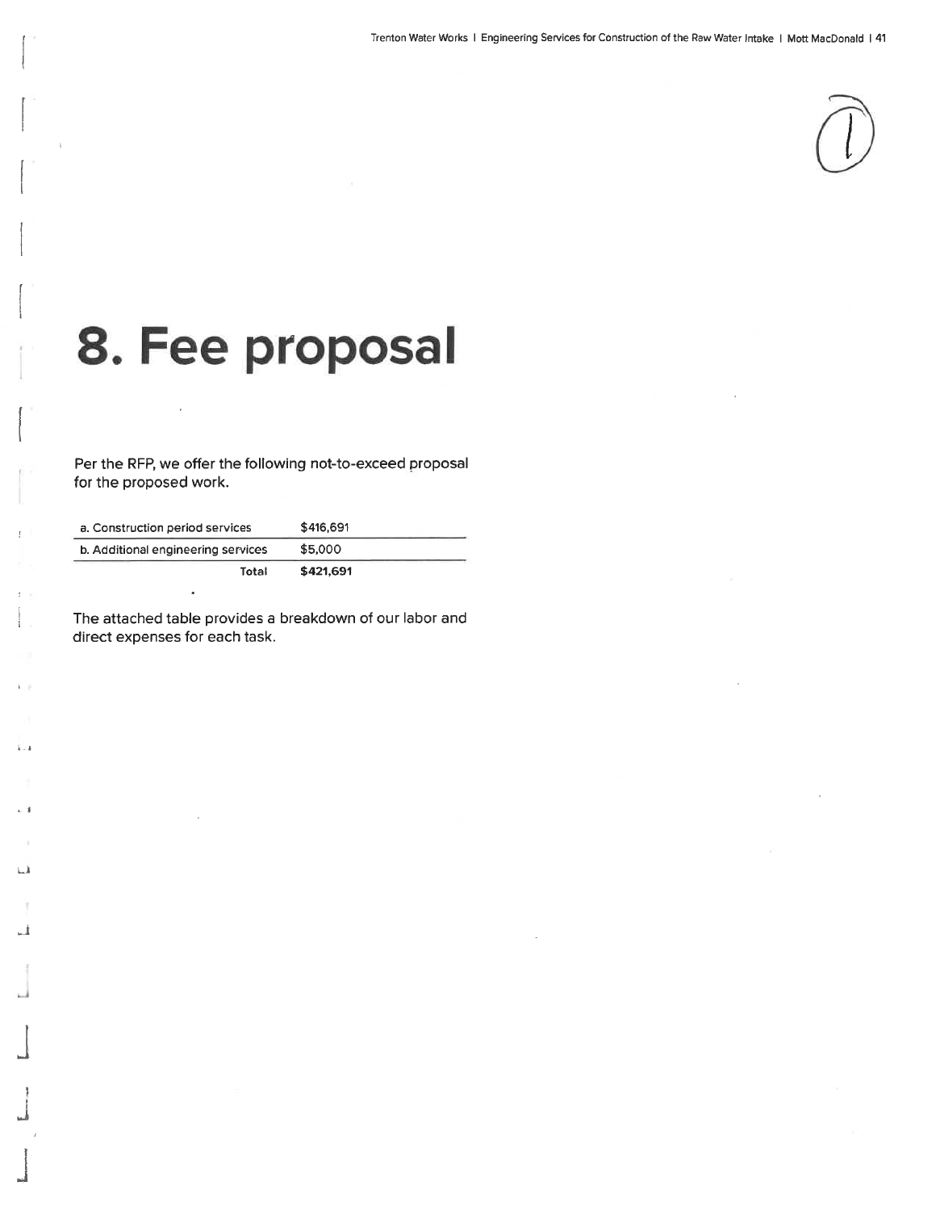

## 8. Fee proposal

Per the RFP, we offer the following not-to-exceed proposal for the proposed work.

| a. Construction period services    | \$416,691 |  |
|------------------------------------|-----------|--|
| b. Additional engineering services | \$5,000   |  |
| Total                              | \$421,691 |  |

The attached table provides a breakdown of our labor and direct expenses for each task.

 $\tilde{k}=\tilde{k}$ 

 $\sim$  1

 $L_{\rm A}$ 

J.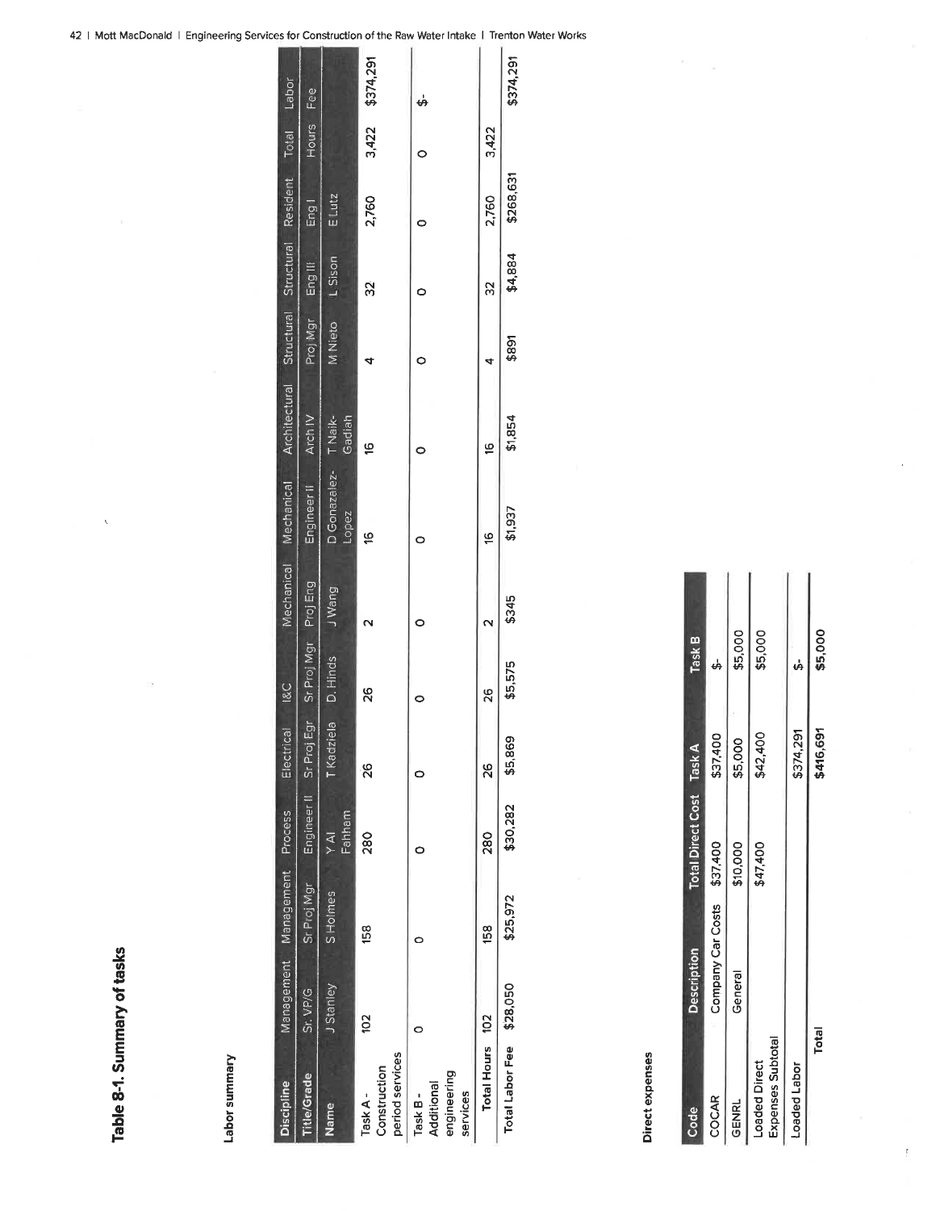## Labor summary

| <b>Discipline</b>                                |               | Management Management Process |                     | Electrical                         | <b>I&amp;C</b>       |        | Mechanical Mechanical Architectural Structural Structural Resident Total Labor |                   |                |         |           |       |                 |
|--------------------------------------------------|---------------|-------------------------------|---------------------|------------------------------------|----------------------|--------|--------------------------------------------------------------------------------|-------------------|----------------|---------|-----------|-------|-----------------|
| Title/Grade                                      | Sr. VP/G      | Sr Proj Mgr                   | Engineer II Sr Proj | ភ្ន                                | Sr Proj Mgr Proj Eng |        | Engineer II                                                                    | Arch IV           | Proj Mgr       | Eng III | Eng!      | Hours | Fee             |
| Name                                             | J Stanley     | S Holmes                      | Fahham<br>Y AI      | $\frac{\Theta}{\Theta}$<br>T Kadzi | D. Hinds             | J Wang | D Gonazalez-<br>Lopez                                                          | T Naik-<br>Gadiah | <b>M</b> Nieto | L Sison | E Lutz    |       |                 |
| period services<br>Construction<br>Task A-       | $\frac{2}{3}$ | 158                           | 280                 | $\frac{8}{2}$                      | 88                   |        | é                                                                              | Έ                 |                | S)      | 2,760     |       | 3,422 \$374,291 |
| engineering<br>Additional<br>services<br>Task B- |               |                               |                     |                                    |                      |        |                                                                                |                   |                |         |           |       | မှ              |
| Total Hours 102                                  |               | 158                           | 280                 | 8                                  | 26                   |        | é                                                                              | پ                 | 4              | ္က      | 2,760     | 3,422 |                 |
| Total Labor Fee \$28,050                         |               | \$25,972                      | \$30,282            | \$5,869                            | \$5,575              | \$345  | \$1,937                                                                        | \$1,854           | \$891          | \$4,884 | \$268,631 |       | \$374,291       |

## Direct expenses

| Code                                      | <b>Description</b>         | Total Direct Cost Task A |           | Task B  |
|-------------------------------------------|----------------------------|--------------------------|-----------|---------|
| COCAR                                     | Company Car Costs \$37,400 |                          | \$37,400  |         |
| GENRL                                     | General                    | \$10,000                 | \$5,000   | \$5,000 |
| Expenses Subtotal<br><b>Loaded Direct</b> |                            | \$47,400                 | \$42,400  | \$5,000 |
| Loaded Labor                              |                            |                          | \$374,291 |         |
| <b>Total</b>                              |                            |                          | \$416,691 | \$5,000 |